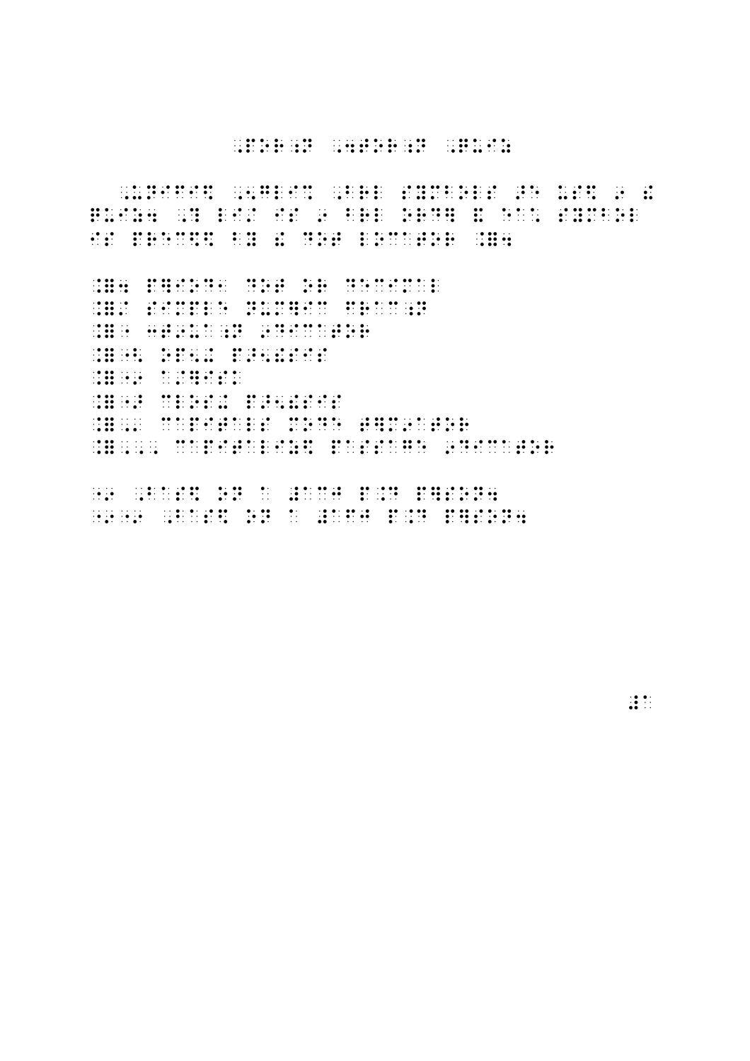## 

1999 DE 2012 EN 2010 EN 1999 DE 2010 EN 2010 DE 1999 EN 1999 EN EN EXTREM DE 2010 DE 2010 EN 2010 EN 2010 DE 2<br>1999 DE EN EXTREM EN 1999 EN EN EN 2019 DE 1999 EN EN 2019 DE 2019 EN 2019 DE 2019 EN 2019 DE 2019 DE 2019 EN<br>1 , de distribuirs institut distribute in the series of the distribute the distribute of the distributed distrib<br>1967: De Cardia (1979) - distribute in distribute in Bandist (1979) - De Cardia (1979) - distributed in distr<br>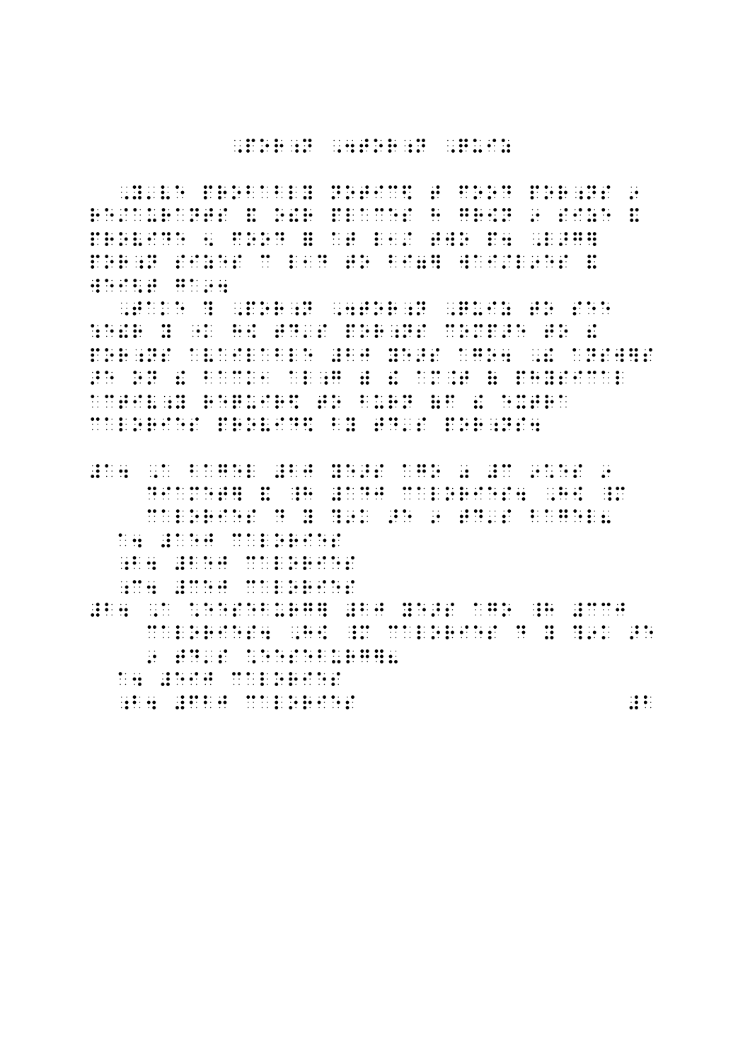## ,POR;N ,4TOR;N ,QUIZ

,Y'VE PROBABLY NOTICE (DATE) DATE) DATE) DE DATA DI DE DE DATE DE DATE DATE DE DATE DATA DI LETTRO A 1999 (PRO<br>1999 - PORTICE DE DE DE PORTICE DATE DATE DE PORTICE DE LA PORTICE DE LA PORTICE DE PORTICE DE LA PORTICE DE<br>19 RE/AURANTS & ORIGINS (1988) DE LOIRES DE DE DE CORREIX (1988) DE LOIRES DE L'AURANTS (1989) DE L'AURANTS (1999<br>1999 : Carlo Sophia (1999) De La Carlo (1999) De La Carlo (1999) De Loires de Loires (1999) De La Carlo (1999<br>1 PROVIDE 5 FOOD EXTERNAL EN DE EN EN EEN DE LANGUARD EN EN DIE STANDAL EN DIE STAAN GESTELD OOR DIE STAAN GESTE<br>PROVIDE 5 FOOD EN DIE 1950 DE EN DIE 1950 DE EN DIE 1950 DE EN DIE 1950 DE EN DIE 1950 DE EN DIE 1950 DE EN<br>DIE POR BI7 IN 1988 – IN 1989 BI7 IN 1988 – BI7 IN 1989 – IN 1981 – IN 1989 – IN 1970 IN 1970 – IN 1970 – IN 1989<br>Por bir bir in 1989 – In 1989 – In 1989 – In 1989 – In 1989 – In 1989 – In 1989 – In 1989 – In 1989 – In 1989<br>Po WEI<T GA94

, TAKE REPORT OF THE REPORT OF THE RESIDENCE OF THE REPORT OF THE REPORT OF THE REPORT OF THE REPORT OF THE RE<br>No report of the report of the report of the report of the report of the report of the report of the report of : E: E: PORT : EST : PORT : EN LE PORT : PORT : EST EL PORT : EST EL BORD : EST EL PORT : PORT : POR<br>1980 : Est est : Port : Est est est est en la port : est est est est en la port : est est est est est el port<br>1980 : Est POR A RESIDENT E RESPONSOR DE DE DE LA BISA DE LA BOSA DE LA BISA DE LA BISA DE LA BISA DE LA BOSA DE LA BISA<br>POR ES AGOS AGOS - LA BISA DE LA BISA DE LA BISA DE LA BISA DE LA BISA DE LA BISA DE LA BISA DE LA BISA DE LA<br>PO -FOND - COMPONENT AND COMPONENT AMERICAN CONSTRUCTION OF A SAME AND COMPONENT AND A SAME ARRESTS OF A SAME AND<br>The Component American Component and the Component American Component American Component American Component Am<br> ACTIVE AND AN ACTIVITY OF A REPORT OF A REPORT OF A REPORT OF A REPORT OF A REPORT OF A REPORT OF A REPORT OF <br>A REPORT OF A REPORT OF A REPORT OF A REPORT OF A REPORT OF A REPORT OF A REPORT OF A REPORT OF A REPORT OF A<br>A CALORIES PROVID\$ BY TD'S POR;NS4

#A4 ,A BAGEL #BJ YE>S AGO 0 #C 9\*ES 9 DIAMETER DIAMETER AND CALORIES , HER BLOCK , HER BLOCK , HER BLOCK , HER BLOCK , HER BLOCK , HER BLOCK , HER B CALORIES DE LO CALORIES DE L'ALORIES DE L'ALORIES DE L'ALORIES DE L'ALORIES DE L'ALORIES DE L'ALORIES DE L'AL<br>1950 : L'ALORIES DE L'ALORIES DE L'ALORIES DE L'ALORIES DE L'ALORIES DE L'ALORIES DE L'ALORIES DE L'ALORIES D<br>19 A4 #AEJ CALORIES ;B4 #BEJ CALORIES ;C4 #CEJ CALORIES #B4 ,A \*EESEBURG] #BJ YE>S AGO \_H #CCJ CALORIES 4 , HE SALORIES DE L'ALORIES DE L'ALORIES DE L'ALORIES DE L'ALORIES DE L'ALORIES DE L'ALORIES DE L'AL<br>COLORIES DE L'ALORIES DE L'ALORIES DE L'ALORIES DE L'ALORIES DE L'ALORIES DE L'ALORIES DE L'ALORIES DE L'ALORI 9 TO SAN A BALLARY AND A BALLARY AND A BAILAIN ANN AN AIR AN AIR AN AIR AN AIR AN AIR AN AIR AN AIR AN AIR AN<br>9 TO SAN AIR AN AIR AN AIR AN AIR AN AIR AN AIR AN AIR AN AIR ANN AIR AN AIR AN AIR AN AIR AN AIR AN AIR AN AI<br>9 A4 # EIJ CALORIES | A4 # EI # EI # EIJ # # EIJ<br>| The # EIJ # EIJ # EIJ # EIJ # EIJ # EIJ # EIJ # EIJ # EIJ # E<br>| The # EIJ # EIJ # EIJ # EIJ # EIJ # EIJ # EIJ # EIJ # EIJ # EIJ # EIJ # EIJ # EIJ # EIJ # EIJ # EIJ # EIJ # ;  $\frac{1}{2}$   $\frac{1}{2}$   $\frac{1}{2}$   $\frac{1}{2}$   $\frac{1}{2}$   $\frac{1}{2}$   $\frac{1}{2}$   $\frac{1}{2}$   $\frac{1}{2}$   $\frac{1}{2}$   $\frac{1}{2}$   $\frac{1}{2}$   $\frac{1}{2}$   $\frac{1}{2}$   $\frac{1}{2}$   $\frac{1}{2}$   $\frac{1}{2}$   $\frac{1}{2}$   $\frac{1}{2}$   $\frac{1}{2}$   $\frac{1}{2}$   $\frac{1}{2}$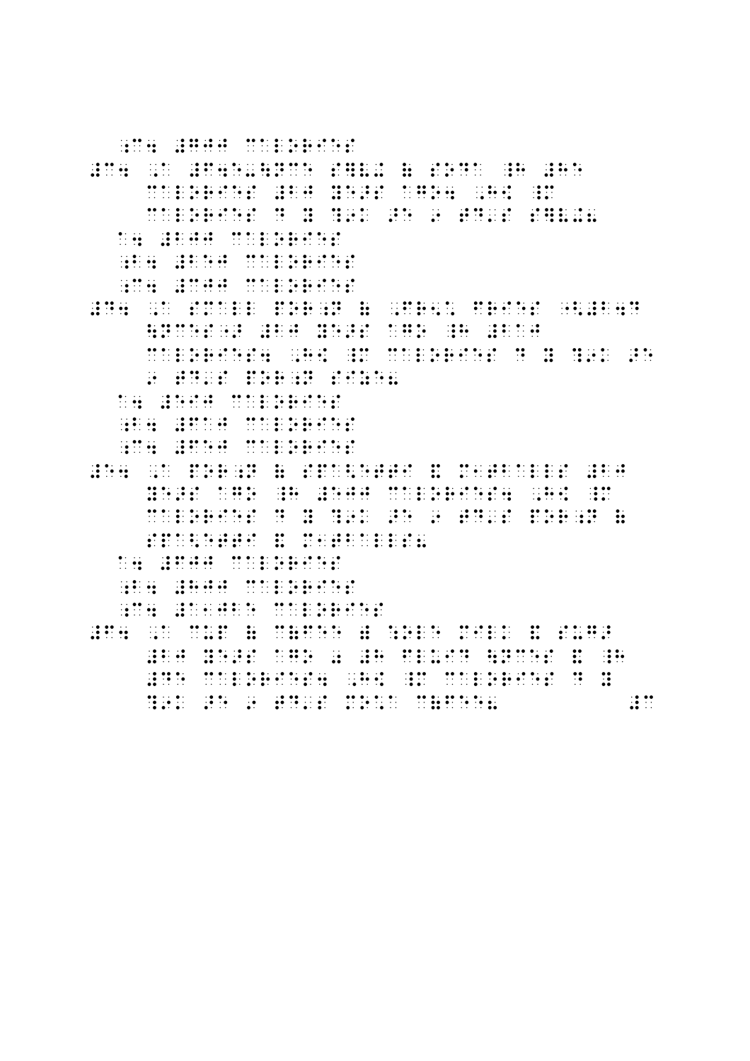; C4 #GBJJ CALORIES (1999) ; C4 #GJBJJ GALORIES (1999) ; C4 #GJJJ CALORIES (1999) ; C4 #GJJJ CALORIES (1999) ;<br>C4 #GJJJ CALORIES (1999) ; C4 #GJJJJ CALORIES (1999) ; C4 #GJJJJJJ CALORIES (1999); C4 #GJJJJJJJJJJJJJJJJJJJJJ # 2008 | 2008 | 2009 | 2009 | 2009 | 2009 | 2009 | 2009 | 2009 | 2009 | 2009 | 2009 | 2009 | 2009 | 2009 | 200<br>#F4E-Y = 2008 | 2008 | 2008 | 2009 | 2009 | 2009 | 2009 | 2009 | 2009 | 2009 | 2009 | 2009 | 2009 | 2009 | 20<br># CALORIES #BJ YES AGO4 , HE SAGO4 , HE SAGO4 , HE SAGO4 , HE SAGO4 , HE SAGO4 , HE SAGO4 , HE SAGO4 , HE SAGO4<br>CALORIES #BJ YES AGO4 , HE SAGO4 , HE SAGO4 , HE SAGO4 , HE SAGO4 , HE SAGO4 , HE SAGO4 , HE SAGO4 , HE SAGO4 CALORIES DI REGIONE DE 1988 - 1988 - 1989 - 1989 - 1989 - 1989 - 1989 - 1989 - 1989 - 1989 - 1989 - 1989 - 198<br>CALORIES DE 1989 - 1989 - 1989 - 1989 - 1989 - 1989 - 1989 - 1989 - 1989 - 1989 - 1989 - 1989 - 1989 - 1989 -<br>C A4 #BJJ CALORIES ;B4 #BEJ CALORIES  $\mathcal{L}$  and  $\mathcal{L}$  calories and  $\mathcal{L}$  . The fixed policies are set of  $\frac{1}{2}$  , and the state of the state of the state of the state of the state of the state of the state of the state of the state of the state of the state of the state of the state of the state of the state of the state \NCES"> #BJ YE>S AGO \_H #BAJ CALORIES AND AN INCIDITY AND AN INCIDENT AND ALONG AN INCIDENT AND AN INCIDENT AND AN INCIDENT AND AN INCIDENT<br>The state of the state of the state of the state of the state of the state of the state of the state of the st<br> 9 TD'S POR;N SIZE8 A4 #EIJ CALORIES ;B4 #FAJ CALORIES ;C4 #FEJ CALORIES #E4 ,A POR;N ( SPA<ETTI & M1TBALLS #BJ YE>S AGO \_H #EJJ CALORIES4 ,H[ \_M CALORIES DE LA CORTA DE LO DE LO DE LA CALORIES DE LA CALORIES DE LO DE LA CALORIES DE LO DE LO DE LO DE LO DE<br>CALORIES DE LO DE LO DE LA CALORIES DE LO DE LO DE LO DE LO DE LO DE LO DE LO DE LO DE LO DE LO DE LO DE LO D<br>C SPA<ETTI & M1TBALLS8  $\frac{4}{3}$ ;B4 #HJJ CALORIES ;C4 #A1JBE CALORIES  $\frac{1}{2}$  , and  $\frac{1}{2}$  , and  $\frac{1}{2}$  , and  $\frac{1}{2}$  , and  $\frac{1}{2}$  , and  $\frac{1}{2}$  , and  $\frac{1}{2}$  , and  $\frac{1}{2}$  , and  $\frac{1}{2}$  , and  $\frac{1}{2}$  , and  $\frac{1}{2}$  , and  $\frac{1}{2}$  , and  $\frac{1}{2}$  , and  $\frac{1}{2}$  , a # FROM HOLD AND RESPONDENT AND RESPONDENT TO A RESPONDENT A CONSUMING A RESPONDENT AND LOCAL AND LOCAL AND LOC<br>The Respondent and the Respondent and the state of the Respondent and the Respondent and the State and the Res<br> #DE CALORIES4 ,H[ \_M CALORIES D Y ?9K >E 9 TD'S MO\*A C(FEE8 #C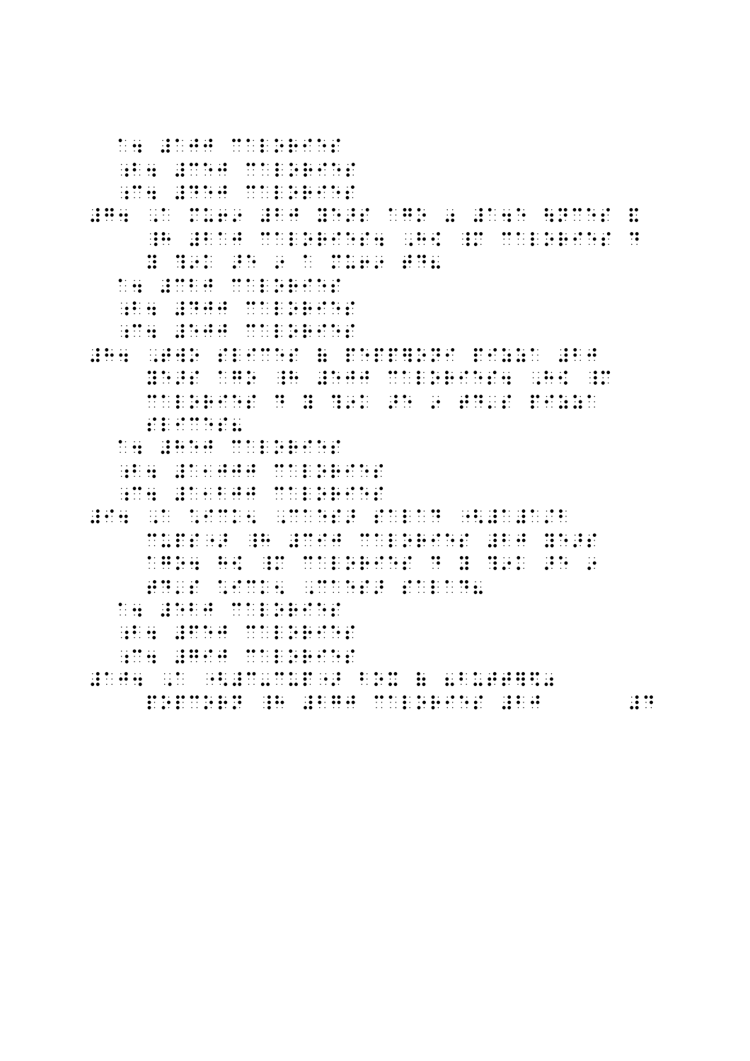A4 #AJJ CALORIES ;B4 #CEJ CALORIES ;C4 #DEJ CALORIES #G4 ,A MU69 #BJ YE>S AGO 0 #A4E \NCES & \_H #BAJ CALORIES4 ,H[ \_M CALORIES D Y ?9K >E 9 A MU69 TD8 A4 #CBJ CALORING # CALORING # CBJ CALORING  $\frac{1}{2}$   $\frac{1}{2}$   $\frac{1}{2}$   $\frac{1}{2}$   $\frac{1}{2}$   $\frac{1}{2}$   $\frac{1}{2}$   $\frac{1}{2}$   $\frac{1}{2}$   $\frac{1}{2}$   $\frac{1}{2}$   $\frac{1}{2}$   $\frac{1}{2}$   $\frac{1}{2}$   $\frac{1}{2}$   $\frac{1}{2}$   $\frac{1}{2}$   $\frac{1}{2}$   $\frac{1}{2}$   $\frac{1}{2}$   $\frac{1}{2}$   $\frac{1}{2}$  ;C4 #EJJ CALORIES #H4 ,TWO SLICES ( PEPP]ONI PIZZA #BJ YE>S AGO \_H #EJJ CALORIES4 ,H[ \_M CALORIES DE LA CALORIES DE L'ARCHITECT (PORT DE L'ARCHITECT DE L'ARCHITECT DE L'ARCHITECT DE L'ARCHITECT DE L'<br>COLORIES DE L'ARCHITECT (PORT DE L'ARCHITECT DE L'ARCHITECT DE L'ARCHITECT DE L'ARCHITECT DE L'ARCHITECT DE L' SLICES SLICES A4 #HEJ CALORIES ; and the algorithm is a set of the set of the set of the set of the set of the set of the set of the set of the set of the set of the set of the set of the set of the set of the set of the set of the set of the set of th ; C4  $\frac{1}{2}$  and  $\frac{1}{2}$  and  $\frac{1}{2}$  and  $\frac{1}{2}$  and  $\frac{1}{2}$  and  $\frac{1}{2}$  and  $\frac{1}{2}$  and  $\frac{1}{2}$  and  $\frac{1}{2}$  and  $\frac{1}{2}$  and  $\frac{1}{2}$  and  $\frac{1}{2}$  and  $\frac{1}{2}$  and  $\frac{1}{2}$  and  $\frac{1}{2}$  and  $\frac{1}{$ : A #I4 (1995) - A 14 (1996) - A 14 (1996) - A 14 (1996) - A 14 (1996) - A 14 (1996) - A 14 (1996) - A 14 (199<br>14 (1996) - A 14 (1996) - A 14 (1996) - A 14 (1996) - A 14 (1996) - A 14 (1996) - A 14 (1996) - A 14 (1996) -<br>1 CUPS"> \_H #CIJ CALORIES #BJ YE>S AGO4 HE 9K 200 HE 9K 200 HE 9K 200 HE 9K 200 HE 9K 200 HE 9K 200 HE 9K 200 HE 9K 200 HE 9K 200 HE 9K 200 HE 9K TO SALAD THE THE THE SALAD SERVES TO THE SALAD SERVES TO THE SALAD SERVES SERVES TO THE SALAD SERVES SERVES SA<br>The Salad Salad Salad Serves Serves Serves Serves Serves Serves Serves Serves Serves Serves Serves Serves Ser<br>T A4 #EBJ CALORIES ;B4 #FEJ CALORIES ;C4 #GIJ CALORIES #AJ4 ,A "<#C-CUP"> BOX ( 8BUTT]\$0 POPCOR AN ORIGINAL ARRANGEMENT WAS ARRESTED FOR A STRONG AND THE STRONG ASSAULT A STRONG AND THE STRONG AND TH<br>POPCOR AN ORIGINAL ARRANGEMENT WAS ARRESTED FOR A STRONG AND THE STRONG AND THE STRONG AND THE STRONG AND THE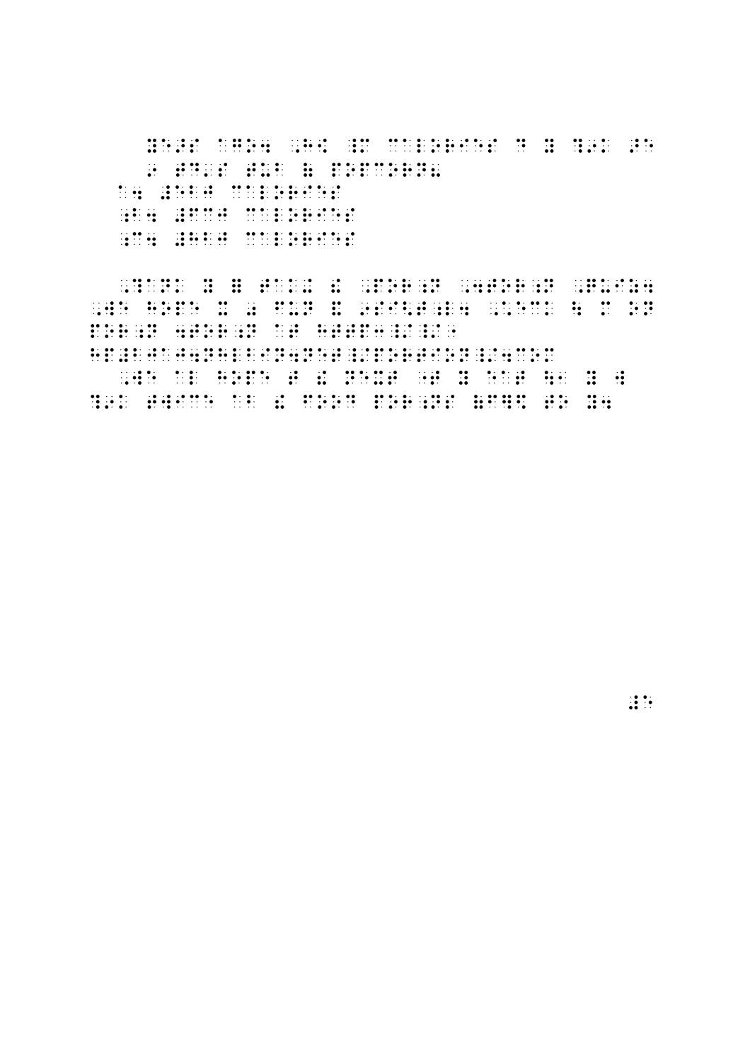i se santa come de la proponación de los de algunas de la componición de la proponación de seu de los de los<br>Los de la componición de la proponación de la proponación de la proponación de la proponación de la proponació<br>L

 $\frac{1}{2}$   $\frac{1}{2}$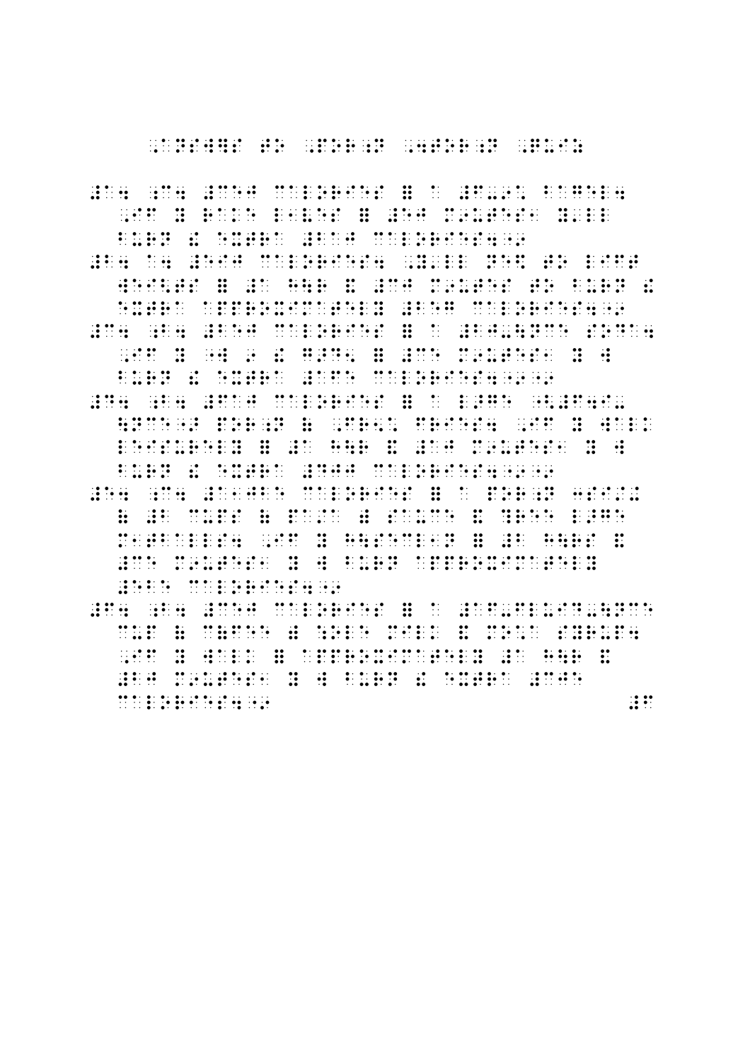, ANSWERS OF A REPORT OF A REPORT OF A REPORT OF A REPORT OF A REPORT OF A REPORT OF A REPORT OF A REPORT OF A

# 2010 | 2020 | 2020 | 2030 | 2040 | 2040 | 2040 | 2040 | 2040 | 2040 | 2040 | 2040 | 2040 | 2040 | 2040 | 204<br># 2040 | 2040 | 2040 | 2040 | 2040 | 2040 | 2040 | 2040 | 2040 | 2040 | 2040 | 2040 | 2040 | 2040 | 2040 | 20<br># ,IF Y RAKE L1VES = #EJ M9UTES1 Y'LL BURN DU BORN : LORT DU BORN DU BURN DU BORN DU BORN DU BURN DU BORN DU BORN DU BORN DU BORN DU BORN DU BORN DU<br>BURN : BORN DR. - BORN : LORT DU BORN DU BORN DU BORN DU BORN DU BORN DU BORN DU BORN DU BORN DU BORN DU BORN<br>L #B4 A4 #EIJ CALORIES4 ,Y'LL NE\$ TO LIFT WEIGHT AN OUR ANDERS THE MOVEMENT OF THE MOVEMENT OF A HOUSE AND A HOUSE AND A HOUSE AND A HOUSE AND A MOVEMEN<br>The movement of the company of the movement of the movement of the movement of the movement of the movement of<br> EXTRA APPROXIMATELY #BEG CALORIES #BEG CALORIES #BEG CALORIES #BEG CALORIES #BEG CALORIES #BEG CALORIES #BEG C<br>TO APPROXIMATELY #BEG CALORIES #BEG CALORIES #BEG CALORIES #BEG CALORIES #BEG CALORIES #BEG CALORIES #BEG CALO  $\frac{1}{2}$  ; and  $\frac{1}{2}$  ; and  $\frac{1}{2}$  ; and  $\frac{1}{2}$  ; and  $\frac{1}{2}$  ; and  $\frac{1}{2}$  ; and  $\frac{1}{2}$  ; and  $\frac{1}{2}$  ; and  $\frac{1}{2}$  ; and  $\frac{1}{2}$  ; and  $\frac{1}{2}$  ; and  $\frac{1}{2}$  ; and  $\frac{1}{2}$  ; and  $\frac{1}{2}$  ; a , If  $\alpha$  is a constraint of the constraint of the constraints of the constraints  $\alpha$  and  $\alpha$  is a constraint of the constraints of the constraints of the constraints of the constraints of the constraints of the constra BURN DU BORN : ROLL DU BORN DE BURN : ROLL DE BURN DU BURN DU BORN DU BORN DU BORN DU BORN DU BORN DU BORN DU<br>BURN : ROLL DE BORN : ROLL DU BORN DU BORN DU BORN DU BORN DU BORN DU BORN DU BORN DU BORN DU BORN DU BORN DU<br>DU #D4 ;B4 #FAJ CALORIES = A L>GE "<#F4I- \NCE"> POR;N ( ,FR5\* FRIES4 ,IF Y WALK LEISURELY EN DIE DIE DIE DIE TROOP DIE DIE DIE SUITE VOLKSELIGE DIE DIE SUITE AAN DIE SUITE AAN GEGEN.<br>Die Suite die Suite die Suite van die Suite van die die Suite van die Suite van die Suite van die Suite van d<br>Die Suite BURN DURAN ER PORT DE REGIONALE EN 1999 DE L'ARRESTE DE REGION EN EL CONTROLLER DE L'ARRESTE DE L'ARRESTE DE L<br>DISTRA EN 1999 DE L'ARRESTE DE L'ARRESTE DE L'ARRESTE DE L'ARRESTE DE L'ARRESTE DE L'ARRESTE DE L'ARRESTE DE  $\frac{1}{24}$  ;  $\frac{1}{24}$  ;  $\frac{1}{24}$  ;  $\frac{1}{24}$  ;  $\frac{1}{24}$  ;  $\frac{1}{24}$  ;  $\frac{1}{24}$  ;  $\frac{1}{24}$  ;  $\frac{1}{24}$  ;  $\frac{1}{24}$  ;  $\frac{1}{24}$  ;  $\frac{1}{24}$  ;  $\frac{1}{24}$  ;  $\frac{1}{24}$  ;  $\frac{1}{24}$  ;  $\frac{1}{24}$  ;  $\frac{1}{24}$  ; ( B) ( B C) ( B C) ( B C) ( B C) ( B C) ( B C) ( B C) ( B C) ( B C) ( B C) ( B C) ( B C) ( B C) ( B C) ( ST) (<br>( B CUPS ( ST) ( B C) ( B C) ( B C) ( B C) ( B C) ( B C) ( B C) ( B C) ( B C) ( B C) ( B C) ( B C) ( B C) ( C<br>( ME AN AN EARLY AND A ROUND AN AN AIR AN AIR AN EARLY AND A ROUND AND AIR AN AIR AN AIR AN AIR AN AIR AN AIR AN<br>An early early an early early an air an air an air an air an air an air an air an air an air an air an air an<br>A .<br>2006 : Carlos II de Louis de Louis II de la Company de la Company de la Company de Louis de Louis de Louis de<br>2016 : Carlos II de Louis de Louis II de la Company de Louis de Louis de Louis de Louis de Louis de Louis de  $\frac{1}{2}$   $\frac{1}{2}$   $\frac{1}{2}$   $\frac{1}{2}$   $\frac{1}{2}$   $\frac{1}{2}$   $\frac{1}{2}$   $\frac{1}{2}$   $\frac{1}{2}$   $\frac{1}{2}$   $\frac{1}{2}$   $\frac{1}{2}$   $\frac{1}{2}$   $\frac{1}{2}$   $\frac{1}{2}$   $\frac{1}{2}$   $\frac{1}{2}$   $\frac{1}{2}$   $\frac{1}{2}$   $\frac{1}{2}$   $\frac{1}{2}$   $\frac{1}{2}$  #F4 ;B4 #CEJ CALORIES = A #AF-FLUID-\NCE CUP ( C) : OLE MILK & MORT ( C) : COLE MILK & COLE MILK & COLE MILK & COLE MILK & COLE MILK & COLE MILK & COLE<br>COLE MILK & MORT ( C) : COLE MILK & COLE MILK & COLE MILK & COLE MILK & COLE MILK & COLE MILK & COLE MILK & CO<br> , IF YO AND THE AFTER A HOT AND A HOUSE OF A HOT AND A HOT A HOT A HOT A HOT A HOT A HOT A HOT A HOT A HOT A H<br>IF YOU ALL A HOT A HOT A HOT A HOT A HOT A HOT A HOT A HOT A HOT A HOT A HOT A HOT A HOT A HOT A HOT A HOT A<br>IF #BJ M9UTES1 Y W BURN ! EXTRA #CJE

CALORIES4"9 #F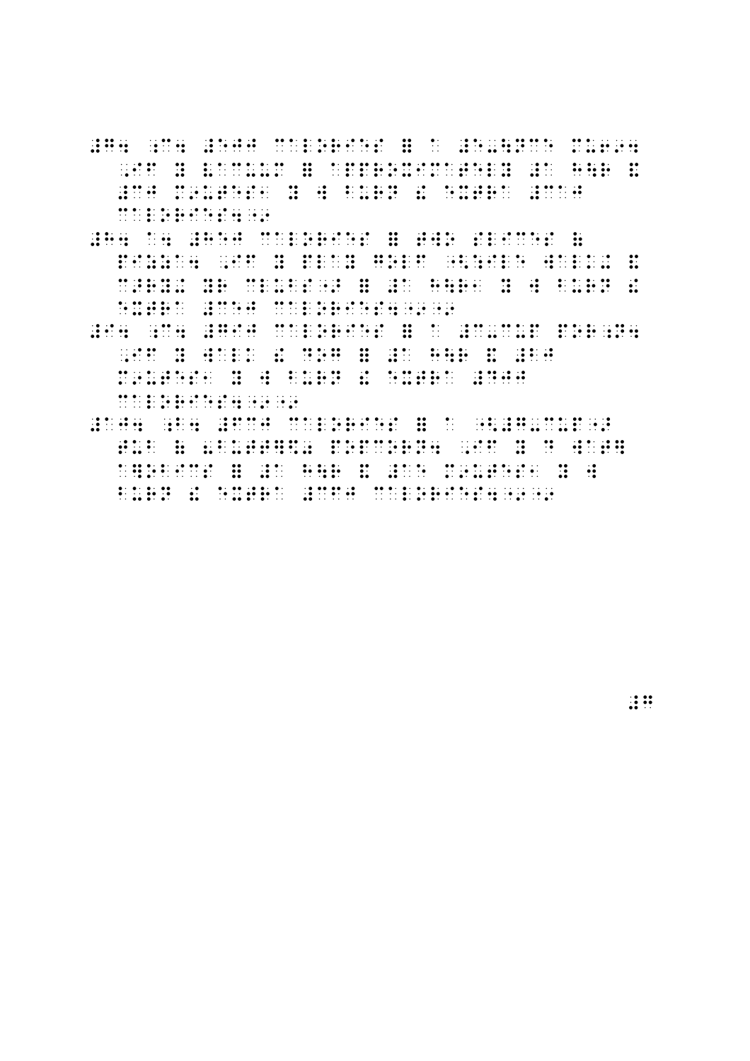- #G4 ;C4 #EJJ CALORIES = A #E-\NCE MU694 , IF YOU BOOK, A HOT OF OUR TO BOOK, AND A HOT OF A HOT OF A HOT OF A HOT OF A HOT OF A HOT OF A HOT OF A HOT<br>IF YOU ALL YOU AN IF YOU ARE LY YOU AN IF YOU ARE A HOT OF A HOT OF A HOT OF A HOT OF A HOT OF A HOT OF A HOT<br>IF #CJ M9UTES1 Y W BURN ! EXTRA #CAJ CALORIES4"9
- #H4 A4 #HEJ CALORIES = TWO SLICES ( PER PER ESTAS DI SISTEME DE L'ESTAS DE L'ESTAS DE L'ESTAS DI SISTEME DE L'ESTAS DI SISTEME DE L'ESTAS DE L'ES<br>1970 : ILE PER PIZZA (PIZZA) (1980) 1970 : ILE DE L'ESTAS DE L'ESTAS DI SISTEME DE L'ESTAS DE L'ESTAS DE L'ES<br>19 C+ YR CHEN A HOLD A HOLD A BOULD AN AIR AN AIR AN AIR AN AIR AN AIR AN AIR AN AIR AN AIR AN AIR AN AIR AN AIR<br>Clubs and the clubs of the air and the air and the air and the air and air and air and air and air and air an<br>Cl EXTRA #CEJ CALORIES4"9"9
- #I4 ;C4 #GIJ CALORIES = A #C-CUP POR;N4 , If you are a simple proposal to the second control of the anti-second control of the anti-second control of the anti-second control of the anti-second control of the anti-second control of the anti-second control of the Medicine and an extra and an extra and an extra and an extra and an extra and an extra and an extra and an ext<br>An extra an extra and an extra and an extra and an extra and an extra and an extra and an extra and an extra a<br> CALORIES4"9"9
- #AJ4 ;B4 #FCJ CALORIES = A "<#G-CUP"> TUB ( 8BUTT]\$0 POPCORN4 ,IF Y D WAT] A]OBICS = #A H\R & #AE M9UTES1 Y W BURN EN ES AN INTERNATIONAL AND ES AN ES AN ES AN ES AN ES AN ES AN ES AN ES AN ES AN ES AN ES AN ES AN ES AN <br>De la primeira de la constantin de la constantin de la constantin de la constantin de la constantin de la cons

 $\ddot{H}$